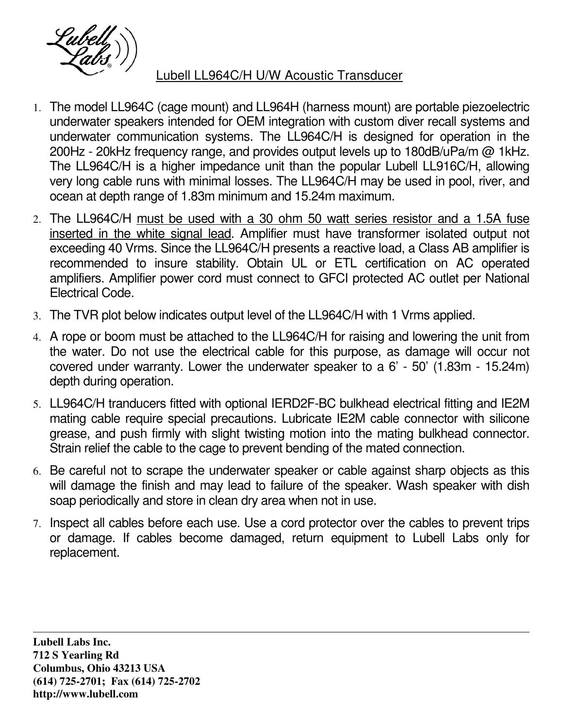

## Lubell LL964C/H U/W Acoustic Transducer

- 1. The model LL964C (cage mount) and LL964H (harness mount) are portable piezoelectric underwater speakers intended for OEM integration with custom diver recall systems and underwater communication systems. The LL964C/H is designed for operation in the 200Hz - 20kHz frequency range, and provides output levels up to 180dB/uPa/m @ 1kHz. The LL964C/H is a higher impedance unit than the popular Lubell LL916C/H, allowing very long cable runs with minimal losses. The LL964C/H may be used in pool, river, and ocean at depth range of 1.83m minimum and 15.24m maximum.
- 2. The LL964C/H must be used with a 30 ohm 50 watt series resistor and a 1.5A fuse inserted in the white signal lead. Amplifier must have transformer isolated output not exceeding 40 Vrms. Since the LL964C/H presents a reactive load, a Class AB amplifier is recommended to insure stability. Obtain UL or ETL certification on AC operated amplifiers. Amplifier power cord must connect to GFCI protected AC outlet per National Electrical Code.
- 3. The TVR plot below indicates output level of the LL964C/H with 1 Vrms applied.
- 4. A rope or boom must be attached to the LL964C/H for raising and lowering the unit from the water. Do not use the electrical cable for this purpose, as damage will occur not covered under warranty. Lower the underwater speaker to a 6' - 50' (1.83m - 15.24m) depth during operation.
- 5. LL964C/H tranducers fitted with optional IERD2F-BC bulkhead electrical fitting and IE2M mating cable require special precautions. Lubricate IE2M cable connector with silicone grease, and push firmly with slight twisting motion into the mating bulkhead connector. Strain relief the cable to the cage to prevent bending of the mated connection.
- 6. Be careful not to scrape the underwater speaker or cable against sharp objects as this will damage the finish and may lead to failure of the speaker. Wash speaker with dish soap periodically and store in clean dry area when not in use.
- 7. Inspect all cables before each use. Use a cord protector over the cables to prevent trips or damage. If cables become damaged, return equipment to Lubell Labs only for replacement.